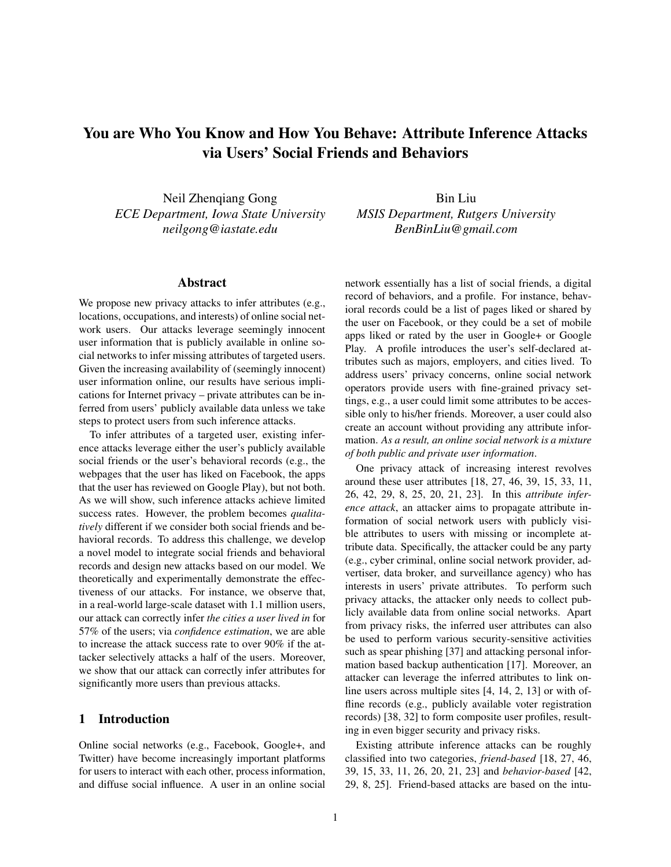# You are Who You Know and How You Behave: Attribute Inference Attacks via Users' Social Friends and Behaviors

Neil Zhenqiang Gong *ECE Department, Iowa State University neilgong@iastate.edu*

Bin Liu *MSIS Department, Rutgers University BenBinLiu@gmail.com*

# Abstract

We propose new privacy attacks to infer attributes (e.g., locations, occupations, and interests) of online social network users. Our attacks leverage seemingly innocent user information that is publicly available in online social networks to infer missing attributes of targeted users. Given the increasing availability of (seemingly innocent) user information online, our results have serious implications for Internet privacy – private attributes can be inferred from users' publicly available data unless we take steps to protect users from such inference attacks.

To infer attributes of a targeted user, existing inference attacks leverage either the user's publicly available social friends or the user's behavioral records (e.g., the webpages that the user has liked on Facebook, the apps that the user has reviewed on Google Play), but not both. As we will show, such inference attacks achieve limited success rates. However, the problem becomes *qualitatively* different if we consider both social friends and behavioral records. To address this challenge, we develop a novel model to integrate social friends and behavioral records and design new attacks based on our model. We theoretically and experimentally demonstrate the effectiveness of our attacks. For instance, we observe that, in a real-world large-scale dataset with 1.1 million users, our attack can correctly infer *the cities a user lived in* for 57% of the users; via *confidence estimation*, we are able to increase the attack success rate to over 90% if the attacker selectively attacks a half of the users. Moreover, we show that our attack can correctly infer attributes for significantly more users than previous attacks.

## 1 Introduction

Online social networks (e.g., Facebook, Google+, and Twitter) have become increasingly important platforms for users to interact with each other, process information, and diffuse social influence. A user in an online social network essentially has a list of social friends, a digital record of behaviors, and a profile. For instance, behavioral records could be a list of pages liked or shared by the user on Facebook, or they could be a set of mobile apps liked or rated by the user in Google+ or Google Play. A profile introduces the user's self-declared attributes such as majors, employers, and cities lived. To address users' privacy concerns, online social network operators provide users with fine-grained privacy settings, e.g., a user could limit some attributes to be accessible only to his/her friends. Moreover, a user could also create an account without providing any attribute information. *As a result, an online social network is a mixture of both public and private user information*.

One privacy attack of increasing interest revolves around these user attributes [18, 27, 46, 39, 15, 33, 11, 26, 42, 29, 8, 25, 20, 21, 23]. In this *attribute inference attack*, an attacker aims to propagate attribute information of social network users with publicly visible attributes to users with missing or incomplete attribute data. Specifically, the attacker could be any party (e.g., cyber criminal, online social network provider, advertiser, data broker, and surveillance agency) who has interests in users' private attributes. To perform such privacy attacks, the attacker only needs to collect publicly available data from online social networks. Apart from privacy risks, the inferred user attributes can also be used to perform various security-sensitive activities such as spear phishing [37] and attacking personal information based backup authentication [17]. Moreover, an attacker can leverage the inferred attributes to link online users across multiple sites [4, 14, 2, 13] or with offline records (e.g., publicly available voter registration records) [38, 32] to form composite user profiles, resulting in even bigger security and privacy risks.

Existing attribute inference attacks can be roughly classified into two categories, *friend-based* [18, 27, 46, 39, 15, 33, 11, 26, 20, 21, 23] and *behavior-based* [42, 29, 8, 25]. Friend-based attacks are based on the intu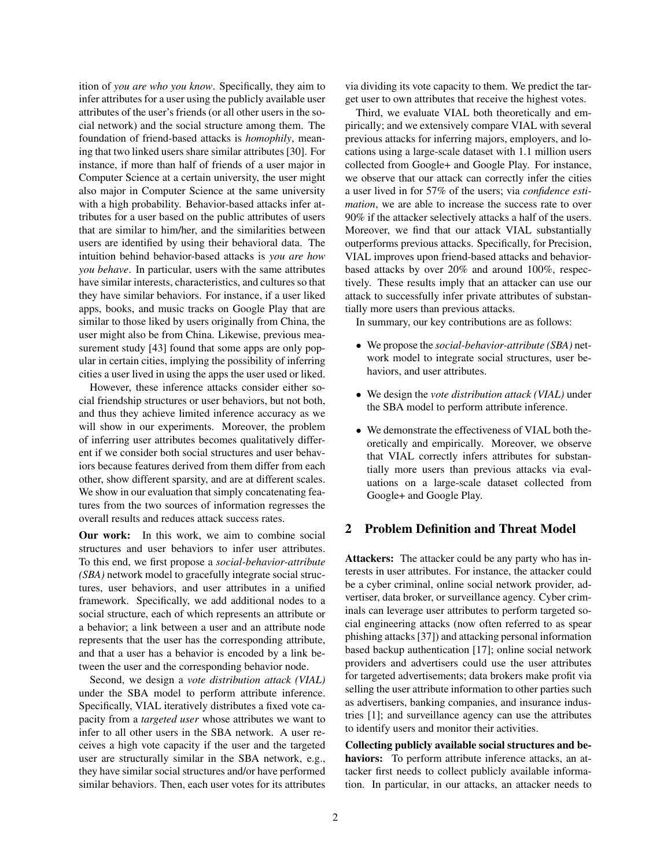ition of *you are who you know*. Specifically, they aim to infer attributes for a user using the publicly available user attributes of the user's friends (or all other users in the social network) and the social structure among them. The foundation of friend-based attacks is *homophily*, meaning that two linked users share similar attributes [30]. For instance, if more than half of friends of a user major in Computer Science at a certain university, the user might also major in Computer Science at the same university with a high probability. Behavior-based attacks infer attributes for a user based on the public attributes of users that are similar to him/her, and the similarities between users are identified by using their behavioral data. The intuition behind behavior-based attacks is *you are how you behave*. In particular, users with the same attributes have similar interests, characteristics, and cultures so that they have similar behaviors. For instance, if a user liked apps, books, and music tracks on Google Play that are similar to those liked by users originally from China, the user might also be from China. Likewise, previous measurement study [43] found that some apps are only popular in certain cities, implying the possibility of inferring cities a user lived in using the apps the user used or liked.

However, these inference attacks consider either social friendship structures or user behaviors, but not both, and thus they achieve limited inference accuracy as we will show in our experiments. Moreover, the problem of inferring user attributes becomes qualitatively different if we consider both social structures and user behaviors because features derived from them differ from each other, show different sparsity, and are at different scales. We show in our evaluation that simply concatenating features from the two sources of information regresses the overall results and reduces attack success rates.

Our work: In this work, we aim to combine social structures and user behaviors to infer user attributes. To this end, we first propose a *social-behavior-attribute (SBA)* network model to gracefully integrate social structures, user behaviors, and user attributes in a unified framework. Specifically, we add additional nodes to a social structure, each of which represents an attribute or a behavior; a link between a user and an attribute node represents that the user has the corresponding attribute, and that a user has a behavior is encoded by a link between the user and the corresponding behavior node.

Second, we design a *vote distribution attack (VIAL)* under the SBA model to perform attribute inference. Specifically, VIAL iteratively distributes a fixed vote capacity from a *targeted user* whose attributes we want to infer to all other users in the SBA network. A user receives a high vote capacity if the user and the targeted user are structurally similar in the SBA network, e.g., they have similar social structures and/or have performed similar behaviors. Then, each user votes for its attributes via dividing its vote capacity to them. We predict the target user to own attributes that receive the highest votes.

Third, we evaluate VIAL both theoretically and empirically; and we extensively compare VIAL with several previous attacks for inferring majors, employers, and locations using a large-scale dataset with 1.1 million users collected from Google+ and Google Play. For instance, we observe that our attack can correctly infer the cities a user lived in for 57% of the users; via *confidence estimation*, we are able to increase the success rate to over 90% if the attacker selectively attacks a half of the users. Moreover, we find that our attack VIAL substantially outperforms previous attacks. Specifically, for Precision, VIAL improves upon friend-based attacks and behaviorbased attacks by over 20% and around 100%, respectively. These results imply that an attacker can use our attack to successfully infer private attributes of substantially more users than previous attacks.

In summary, our key contributions are as follows:

- We propose the *social-behavior-attribute (SBA)* network model to integrate social structures, user behaviors, and user attributes.
- We design the *vote distribution attack (VIAL)* under the SBA model to perform attribute inference.
- We demonstrate the effectiveness of VIAL both theoretically and empirically. Moreover, we observe that VIAL correctly infers attributes for substantially more users than previous attacks via evaluations on a large-scale dataset collected from Google+ and Google Play.

# 2 Problem Definition and Threat Model

Attackers: The attacker could be any party who has interests in user attributes. For instance, the attacker could be a cyber criminal, online social network provider, advertiser, data broker, or surveillance agency. Cyber criminals can leverage user attributes to perform targeted social engineering attacks (now often referred to as spear phishing attacks [37]) and attacking personal information based backup authentication [17]; online social network providers and advertisers could use the user attributes for targeted advertisements; data brokers make profit via selling the user attribute information to other parties such as advertisers, banking companies, and insurance industries [1]; and surveillance agency can use the attributes to identify users and monitor their activities.

Collecting publicly available social structures and behaviors: To perform attribute inference attacks, an attacker first needs to collect publicly available information. In particular, in our attacks, an attacker needs to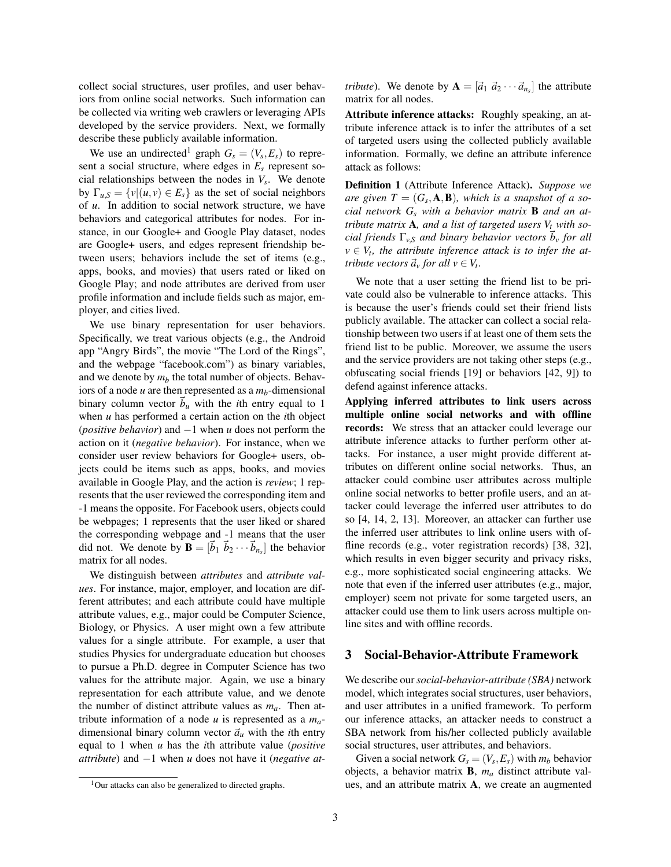collect social structures, user profiles, and user behaviors from online social networks. Such information can be collected via writing web crawlers or leveraging APIs developed by the service providers. Next, we formally describe these publicly available information.

We use an undirected<sup>1</sup> graph  $G_s = (V_s, E_s)$  to represent a social structure, where edges in *E<sup>s</sup>* represent social relationships between the nodes in *V<sup>s</sup>* . We denote by  $\Gamma_{u,S} = \{v | (u,v) \in E_s\}$  as the set of social neighbors of *u*. In addition to social network structure, we have behaviors and categorical attributes for nodes. For instance, in our Google+ and Google Play dataset, nodes are Google+ users, and edges represent friendship between users; behaviors include the set of items (e.g., apps, books, and movies) that users rated or liked on Google Play; and node attributes are derived from user profile information and include fields such as major, employer, and cities lived.

We use binary representation for user behaviors. Specifically, we treat various objects (e.g., the Android app "Angry Birds", the movie "The Lord of the Rings", and the webpage "facebook.com") as binary variables, and we denote by  $m_b$  the total number of objects. Behaviors of a node *u* are then represented as a *mb*-dimensional binary column vector  $b<sub>u</sub>$  with the *i*th entry equal to 1 when *u* has performed a certain action on the *i*th object (*positive behavior*) and −1 when *u* does not perform the action on it (*negative behavior*). For instance, when we consider user review behaviors for Google+ users, objects could be items such as apps, books, and movies available in Google Play, and the action is *review*; 1 represents that the user reviewed the corresponding item and -1 means the opposite. For Facebook users, objects could be webpages; 1 represents that the user liked or shared the corresponding webpage and -1 means that the user did not. We denote by  $\mathbf{B} = [\vec{b}_1 \ \vec{b}_2 \cdots \vec{b}_{n_s}]$  the behavior matrix for all nodes.

We distinguish between *attributes* and *attribute values*. For instance, major, employer, and location are different attributes; and each attribute could have multiple attribute values, e.g., major could be Computer Science, Biology, or Physics. A user might own a few attribute values for a single attribute. For example, a user that studies Physics for undergraduate education but chooses to pursue a Ph.D. degree in Computer Science has two values for the attribute major. Again, we use a binary representation for each attribute value, and we denote the number of distinct attribute values as *ma*. Then attribute information of a node *u* is represented as a *ma*dimensional binary column vector  $\vec{a}_u$  with the *i*th entry equal to 1 when *u* has the *i*th attribute value (*positive attribute*) and −1 when *u* does not have it (*negative at-*

*tribute*). We denote by  $\mathbf{A} = [\vec{a}_1 \ \vec{a}_2 \cdots \vec{a}_{n_s}]$  the attribute matrix for all nodes.

Attribute inference attacks: Roughly speaking, an attribute inference attack is to infer the attributes of a set of targeted users using the collected publicly available information. Formally, we define an attribute inference attack as follows:

Definition 1 (Attribute Inference Attack). *Suppose we*  $are\ given\ T = (G_s, \mathbf{A}, \mathbf{B})$ , which is a snapshot of a so*cial network G<sup>s</sup> with a behavior matrix* B *and an attribute matrix* A*, and a list of targeted users V<sup>t</sup> with social friends*  $\Gamma_{v,S}$  *and binary behavior vectors*  $\vec{b}_v$  *for all*  $v \in V_t$ , the attribute inference attack is to infer the at*tribute vectors*  $\vec{a}_v$  *for all*  $v \in V_t$ .

We note that a user setting the friend list to be private could also be vulnerable to inference attacks. This is because the user's friends could set their friend lists publicly available. The attacker can collect a social relationship between two users if at least one of them sets the friend list to be public. Moreover, we assume the users and the service providers are not taking other steps (e.g., obfuscating social friends [19] or behaviors [42, 9]) to defend against inference attacks.

Applying inferred attributes to link users across multiple online social networks and with offline records: We stress that an attacker could leverage our attribute inference attacks to further perform other attacks. For instance, a user might provide different attributes on different online social networks. Thus, an attacker could combine user attributes across multiple online social networks to better profile users, and an attacker could leverage the inferred user attributes to do so [4, 14, 2, 13]. Moreover, an attacker can further use the inferred user attributes to link online users with offline records (e.g., voter registration records) [38, 32], which results in even bigger security and privacy risks, e.g., more sophisticated social engineering attacks. We note that even if the inferred user attributes (e.g., major, employer) seem not private for some targeted users, an attacker could use them to link users across multiple online sites and with offline records.

#### 3 Social-Behavior-Attribute Framework

We describe our*social-behavior-attribute (SBA)* network model, which integrates social structures, user behaviors, and user attributes in a unified framework. To perform our inference attacks, an attacker needs to construct a SBA network from his/her collected publicly available social structures, user attributes, and behaviors.

Given a social network  $G_s = (V_s, E_s)$  with  $m_b$  behavior objects, a behavior matrix B, *m<sup>a</sup>* distinct attribute values, and an attribute matrix A, we create an augmented

<sup>&</sup>lt;sup>1</sup>Our attacks can also be generalized to directed graphs.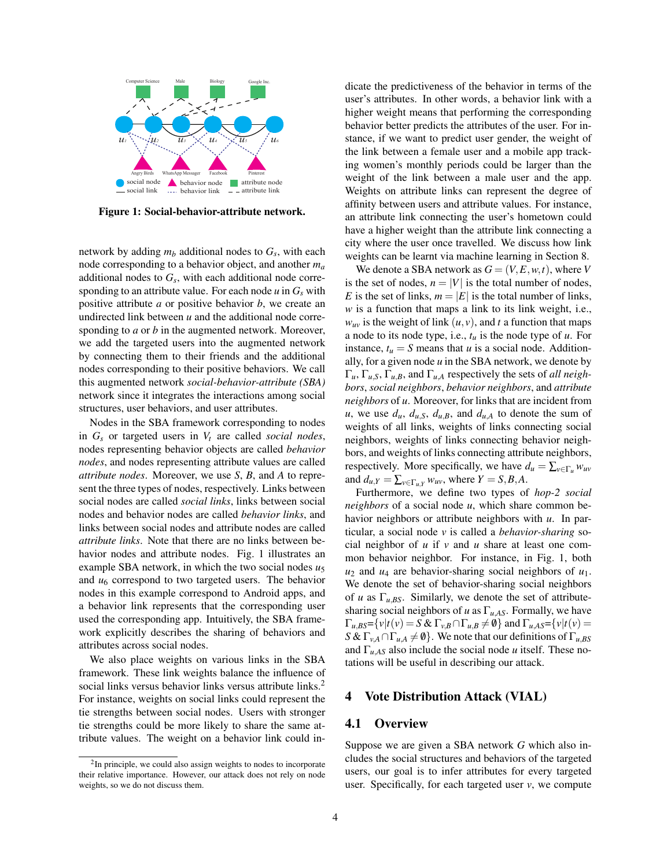

Figure 1: Social-behavior-attribute network.

network by adding *m<sup>b</sup>* additional nodes to *G<sup>s</sup>* , with each node corresponding to a behavior object, and another *m<sup>a</sup>* additional nodes to *G<sup>s</sup>* , with each additional node corresponding to an attribute value. For each node  $u$  in  $G_s$  with positive attribute *a* or positive behavior *b*, we create an undirected link between *u* and the additional node corresponding to *a* or *b* in the augmented network. Moreover, we add the targeted users into the augmented network by connecting them to their friends and the additional nodes corresponding to their positive behaviors. We call this augmented network *social-behavior-attribute (SBA)* network since it integrates the interactions among social structures, user behaviors, and user attributes.

Nodes in the SBA framework corresponding to nodes in *G<sup>s</sup>* or targeted users in *V<sup>t</sup>* are called *social nodes*, nodes representing behavior objects are called *behavior nodes*, and nodes representing attribute values are called *attribute nodes*. Moreover, we use *S*, *B*, and *A* to represent the three types of nodes, respectively. Links between social nodes are called *social links*, links between social nodes and behavior nodes are called *behavior links*, and links between social nodes and attribute nodes are called *attribute links*. Note that there are no links between behavior nodes and attribute nodes. Fig. 1 illustrates an example SBA network, in which the two social nodes *u*<sup>5</sup> and  $u_6$  correspond to two targeted users. The behavior nodes in this example correspond to Android apps, and a behavior link represents that the corresponding user used the corresponding app. Intuitively, the SBA framework explicitly describes the sharing of behaviors and attributes across social nodes.

We also place weights on various links in the SBA framework. These link weights balance the influence of social links versus behavior links versus attribute links.<sup>2</sup> For instance, weights on social links could represent the tie strengths between social nodes. Users with stronger tie strengths could be more likely to share the same attribute values. The weight on a behavior link could indicate the predictiveness of the behavior in terms of the user's attributes. In other words, a behavior link with a higher weight means that performing the corresponding behavior better predicts the attributes of the user. For instance, if we want to predict user gender, the weight of the link between a female user and a mobile app tracking women's monthly periods could be larger than the weight of the link between a male user and the app. Weights on attribute links can represent the degree of affinity between users and attribute values. For instance, an attribute link connecting the user's hometown could have a higher weight than the attribute link connecting a city where the user once travelled. We discuss how link weights can be learnt via machine learning in Section 8.

We denote a SBA network as  $G = (V, E, w, t)$ , where *V* is the set of nodes,  $n = |V|$  is the total number of nodes, *E* is the set of links,  $m = |E|$  is the total number of links, *w* is a function that maps a link to its link weight, i.e.,  $w_{uv}$  is the weight of link  $(u, v)$ , and *t* a function that maps a node to its node type, i.e., *t<sup>u</sup>* is the node type of *u*. For instance,  $t_u = S$  means that *u* is a social node. Additionally, for a given node *u* in the SBA network, we denote by  $\Gamma_u$ ,  $\Gamma_{u,S}$ ,  $\Gamma_{u,B}$ , and  $\Gamma_{u,A}$  respectively the sets of *all neighbors*, *social neighbors*, *behavior neighbors*, and *attribute neighbors* of *u*. Moreover, for links that are incident from *u*, we use  $d_u$ ,  $d_{u,s}$ ,  $d_{u,s}$ , and  $d_{u,A}$  to denote the sum of weights of all links, weights of links connecting social neighbors, weights of links connecting behavior neighbors, and weights of links connecting attribute neighbors, respectively. More specifically, we have  $d_u = \sum_{v \in \Gamma_u} w_{uv}$ and  $d_{u,Y} = \sum_{v \in \Gamma_{u,Y}} w_{uv}$ , where  $Y = S, B, A$ .

Furthermore, we define two types of *hop-2 social neighbors* of a social node *u*, which share common behavior neighbors or attribute neighbors with *u*. In particular, a social node *v* is called a *behavior-sharing* social neighbor of *u* if *v* and *u* share at least one common behavior neighbor. For instance, in Fig. 1, both  $u_2$  and  $u_4$  are behavior-sharing social neighbors of  $u_1$ . We denote the set of behavior-sharing social neighbors of *u* as  $\Gamma_{u,BS}$ . Similarly, we denote the set of attributesharing social neighbors of *u* as  $\Gamma_{u,AS}$ . Formally, we have  $\Gamma_{u,BS} = \{v \mid t(v) = S \& \Gamma_{v,B} \cap \Gamma_{u,B} \neq \emptyset\}$  and  $\Gamma_{u,AS} = \{v \mid t(v) = \emptyset\}$ *S* &  $\Gamma_{v,A} \cap \Gamma_{u,A} \neq \emptyset$ . We note that our definitions of  $\Gamma_{u,BS}$ and  $\Gamma_{u,AS}$  also include the social node *u* itself. These notations will be useful in describing our attack.

#### 4 Vote Distribution Attack (VIAL)

#### 4.1 Overview

Suppose we are given a SBA network *G* which also includes the social structures and behaviors of the targeted users, our goal is to infer attributes for every targeted user. Specifically, for each targeted user  $\nu$ , we compute

<sup>&</sup>lt;sup>2</sup>In principle, we could also assign weights to nodes to incorporate their relative importance. However, our attack does not rely on node weights, so we do not discuss them.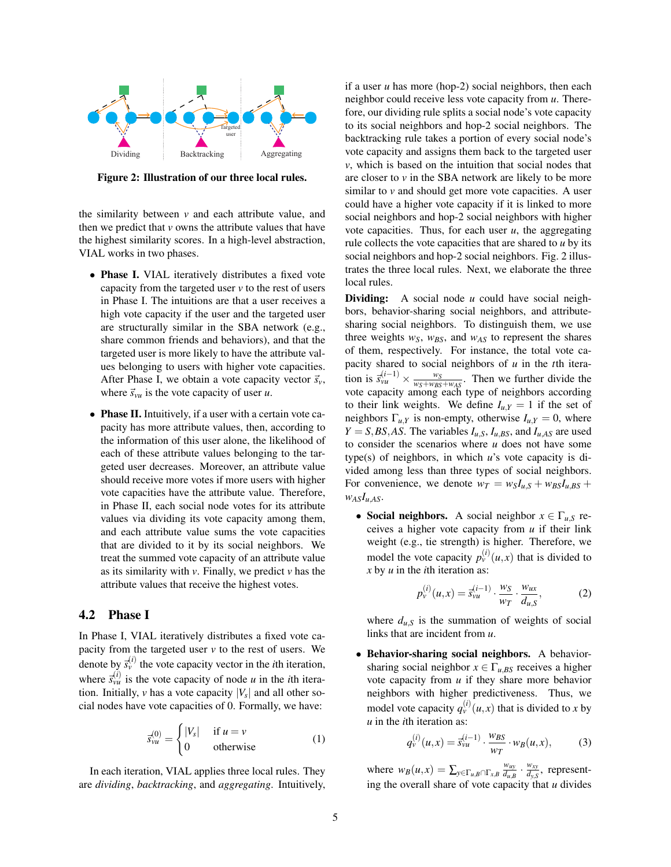

Figure 2: Illustration of our three local rules.

the similarity between *v* and each attribute value, and then we predict that  $\nu$  owns the attribute values that have the highest similarity scores. In a high-level abstraction, VIAL works in two phases.

- **Phase I.** VIAL iteratively distributes a fixed vote capacity from the targeted user *v* to the rest of users in Phase I. The intuitions are that a user receives a high vote capacity if the user and the targeted user are structurally similar in the SBA network (e.g., share common friends and behaviors), and that the targeted user is more likely to have the attribute values belonging to users with higher vote capacities. After Phase I, we obtain a vote capacity vector  $\vec{s}_v$ , where  $\vec{s}_{vu}$  is the vote capacity of user *u*.
- Phase II. Intuitively, if a user with a certain vote capacity has more attribute values, then, according to the information of this user alone, the likelihood of each of these attribute values belonging to the targeted user decreases. Moreover, an attribute value should receive more votes if more users with higher vote capacities have the attribute value. Therefore, in Phase II, each social node votes for its attribute values via dividing its vote capacity among them, and each attribute value sums the vote capacities that are divided to it by its social neighbors. We treat the summed vote capacity of an attribute value as its similarity with *v*. Finally, we predict *v* has the attribute values that receive the highest votes.

# 4.2 Phase I

In Phase I, VIAL iteratively distributes a fixed vote capacity from the targeted user  $v$  to the rest of users. We denote by  $\vec{s}_y^{(i)}$  the vote capacity vector in the *i*th iteration, where  $\vec{s}_{vu}^{(i)}$  is the vote capacity of node *u* in the *i*th iteration. Initially,  $\nu$  has a vote capacity  $|V_s|$  and all other social nodes have vote capacities of 0. Formally, we have:

$$
\vec{s}_{vu}^{(0)} = \begin{cases} |V_s| & \text{if } u = v \\ 0 & \text{otherwise} \end{cases}
$$
 (1)

In each iteration, VIAL applies three local rules. They are *dividing*, *backtracking*, and *aggregating*. Intuitively, if a user *u* has more (hop-2) social neighbors, then each neighbor could receive less vote capacity from *u*. Therefore, our dividing rule splits a social node's vote capacity to its social neighbors and hop-2 social neighbors. The backtracking rule takes a portion of every social node's vote capacity and assigns them back to the targeted user *v*, which is based on the intuition that social nodes that are closer to *v* in the SBA network are likely to be more similar to *v* and should get more vote capacities. A user could have a higher vote capacity if it is linked to more social neighbors and hop-2 social neighbors with higher vote capacities. Thus, for each user *u*, the aggregating rule collects the vote capacities that are shared to *u* by its social neighbors and hop-2 social neighbors. Fig. 2 illustrates the three local rules. Next, we elaborate the three local rules.

**Dividing:** A social node *u* could have social neighbors, behavior-sharing social neighbors, and attributesharing social neighbors. To distinguish them, we use three weights  $w_S$ ,  $w_{BS}$ , and  $w_{AS}$  to represent the shares of them, respectively. For instance, the total vote capacity shared to social neighbors of *u* in the *t*th iteration is  $\bar{s}_{vu}^{(i-1)} \times \frac{w_S}{w_S + w_{BS}}$  $\frac{w_S}{w_S + w_{BS} + w_{AS}}$ . Then we further divide the vote capacity among each type of neighbors according to their link weights. We define  $I_{u,Y} = 1$  if the set of neighbors  $\Gamma_{u,Y}$  is non-empty, otherwise  $I_{u,Y} = 0$ , where  $Y = S$ , *BS*, *AS*. The variables  $I_{u,S}$ ,  $I_{u,BS}$ , and  $I_{u,AS}$  are used to consider the scenarios where *u* does not have some type(s) of neighbors, in which *u*'s vote capacity is divided among less than three types of social neighbors. For convenience, we denote  $w_T = w_S I_{u,S} + w_{BS} I_{u,BS} +$  $W_{AS}I_{u,AS}$ .

• Social neighbors. A social neighbor  $x \in \Gamma_{u,S}$  receives a higher vote capacity from *u* if their link weight (e.g., tie strength) is higher. Therefore, we model the vote capacity  $p_{\nu}^{(i)}(u,x)$  that is divided to *x* by *u* in the *i*th iteration as:

$$
p_{\nu}^{(i)}(u,x) = \vec{s}_{\nu u}^{(i-1)} \cdot \frac{w_S}{w_T} \cdot \frac{w_{ux}}{d_{u,S}},
$$
 (2)

where  $d_{u,s}$  is the summation of weights of social links that are incident from *u*.

• Behavior-sharing social neighbors. A behaviorsharing social neighbor  $x \in \Gamma_{u,BS}$  receives a higher vote capacity from *u* if they share more behavior neighbors with higher predictiveness. Thus, we model vote capacity  $q_{\nu}^{(i)}(u,x)$  that is divided to *x* by *u* in the *i*th iteration as:

$$
q_{\nu}^{(i)}(u,x) = \vec{s}_{\nu u}^{(i-1)} \cdot \frac{w_{BS}}{w_T} \cdot w_B(u,x),
$$
 (3)

where  $w_B(u, x) = \sum_{y \in \Gamma_{u,B} \cap \Gamma_{x,B}} \frac{w_{uy}}{d_{u,B}}$  $\frac{w_{uy}}{d_{u,B}} \cdot \frac{w_{xy}}{d_{y,S}}$  $\frac{w_{xy}}{d_{y,S}}$ , representing the overall share of vote capacity that *u* divides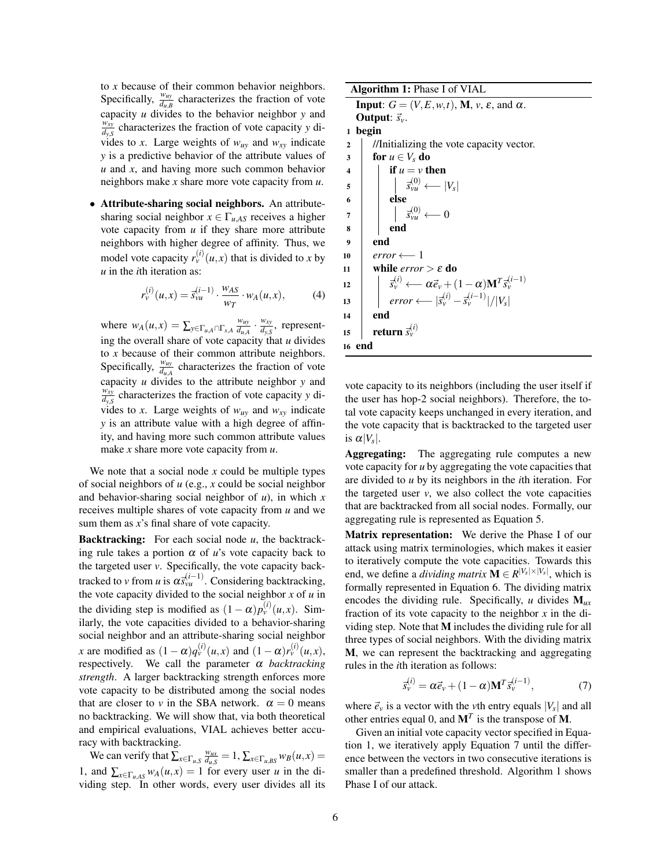to *x* because of their common behavior neighbors. Specifically,  $\frac{w_{uy}}{d_{u,B}}$  characterizes the fraction of vote capacity *u* divides to the behavior neighbor *y* and *wxy*  $\frac{d^{2}y}{dx^{2}}$  characterizes the fraction of vote capacity *y* divides to *x*. Large weights of  $w_{uy}$  and  $w_{xy}$  indicate *y* is a predictive behavior of the attribute values of *u* and *x*, and having more such common behavior neighbors make *x* share more vote capacity from *u*.

• Attribute-sharing social neighbors. An attributesharing social neighbor  $x \in \Gamma_{uAS}$  receives a higher vote capacity from *u* if they share more attribute neighbors with higher degree of affinity. Thus, we model vote capacity  $r_v^{(i)}(u,x)$  that is divided to x by *u* in the *i*th iteration as:

$$
r_{v}^{(i)}(u,x) = \vec{s}_{vu}^{(i-1)} \cdot \frac{w_{AS}}{w_T} \cdot w_A(u,x),
$$
 (4)

where  $w_A(u, x) = \sum_{y \in \Gamma_{u,A} \cap \Gamma_{x,A}} \frac{w_{uy}}{d_{u,A}}$  $\frac{w_{uy}}{d_{u,A}} \cdot \frac{w_{xy}}{d_{y,S}}$  $\frac{w_{xy}}{d_{y,S}}$ , representing the overall share of vote capacity that *u* divides to *x* because of their common attribute neighbors. Specifically,  $\frac{w_{uy}}{d_{u,A}}$  characterizes the fraction of vote capacity *u* divides to the attribute neighbor *y* and  $w_{xy}$ <sup> $\overline{y}$ </sup>  $\frac{d^{2}y}{dx^{2}}$  characterizes the fraction of vote capacity *y* divides to *x*. Large weights of  $w_{uy}$  and  $w_{xy}$  indicate *y* is an attribute value with a high degree of affinity, and having more such common attribute values make *x* share more vote capacity from *u*.

We note that a social node *x* could be multiple types of social neighbors of *u* (e.g., *x* could be social neighbor and behavior-sharing social neighbor of *u*), in which *x* receives multiple shares of vote capacity from *u* and we sum them as *x*'s final share of vote capacity.

Backtracking: For each social node *u*, the backtracking rule takes a portion  $\alpha$  of  $u$ 's vote capacity back to the targeted user *v*. Specifically, the vote capacity backtracked to *v* from *u* is  $\alpha \vec{s}_{vu}^{(i-1)}$ . Considering backtracking, the vote capacity divided to the social neighbor  $x$  of  $u$  in the dividing step is modified as  $(1 - \alpha)p_v^{(i)}(u, x)$ . Similarly, the vote capacities divided to a behavior-sharing social neighbor and an attribute-sharing social neighbor *x* are modified as  $(1 - \alpha)q_v^{(i)}(u, x)$  and  $(1 - \alpha)r_v^{(i)}(u, x)$ , respectively. We call the parameter α *backtracking strength*. A larger backtracking strength enforces more vote capacity to be distributed among the social nodes that are closer to *v* in the SBA network.  $\alpha = 0$  means no backtracking. We will show that, via both theoretical and empirical evaluations, VIAL achieves better accuracy with backtracking.

We can verify that  $\sum_{x \in \Gamma_{u,S}} \frac{w_{ux}}{d_{u,S}} = 1$ ,  $\sum_{x \in \Gamma_{u,BS}} w_B(u, x) =$ 1, and  $\sum_{x \in \Gamma_{u,AS}} w_A(u, x) = 1$  for every user *u* in the dividing step. In other words, every user divides all its

Algorithm 1: Phase I of VIAL **Input**:  $G = (V, E, w, t)$ , **M**,  $v, \varepsilon$ , and  $\alpha$ . **Output:**  $\vec{s}_v$ . 1 begin 2 | //Initializing the vote capacity vector.  $\begin{array}{c|c} 3 & \text{for } u \in V_s \text{ do} \\ 4 & \text{if } u = v \text{ th} \end{array}$ 4  $\parallel$  if  $u = v$  then  $\mathbf{5}$   $\begin{vmatrix} \vdots & \vdots \\ \mathbf{5}^{(0)}_{vu} & \leftarrow & |V_s| \end{vmatrix}$ 6 | else  $\begin{array}{|c|c|c|}\n\hline\n7 & 7\n\end{array}$   $\begin{array}{|c|c|c|}\n\hline\ns^{\left(0\right)}_{\nu u} \longleftarrow 0\n\end{array}$  $8$  | end 9 end  $\begin{array}{|c|c|}\n\hline\n10 & \text{error} \longleftarrow 1 \\
\hline\n11 & \text{while error}\n\end{array}$ while  $error > \varepsilon$  do  $\mathbf{u}$  **z**  $\mathbf{v}^{(i)}$   $\longleftarrow$   $\alpha \vec{e}_v + (1-\alpha) \mathbf{M}^T \vec{s}_v^{(i-1)}$ 13 *error* ←  $|\vec{s}_{v}^{(i)} - \vec{s}_{v}^{(i-1)}|/|V_s|$  $14$ 15 **return**  $\vec{s}_{\nu}^{(i)}$ 16 end

vote capacity to its neighbors (including the user itself if the user has hop-2 social neighbors). Therefore, the total vote capacity keeps unchanged in every iteration, and the vote capacity that is backtracked to the targeted user is  $\alpha |V_s|$ .

Aggregating: The aggregating rule computes a new vote capacity for *u* by aggregating the vote capacities that are divided to *u* by its neighbors in the *i*th iteration. For the targeted user  $v$ , we also collect the vote capacities that are backtracked from all social nodes. Formally, our aggregating rule is represented as Equation 5.

Matrix representation: We derive the Phase I of our attack using matrix terminologies, which makes it easier to iteratively compute the vote capacities. Towards this end, we define a *dividing matrix*  $\mathbf{M} \in R^{|V_s| \times |V_s|}$ , which is formally represented in Equation 6. The dividing matrix encodes the dividing rule. Specifically, *u* divides M*ux* fraction of its vote capacity to the neighbor *x* in the dividing step. Note that M includes the dividing rule for all three types of social neighbors. With the dividing matrix M, we can represent the backtracking and aggregating rules in the *i*th iteration as follows:

$$
\vec{s}_{\nu}^{(i)} = \alpha \vec{e}_{\nu} + (1 - \alpha) \mathbf{M}^T \vec{s}_{\nu}^{(i-1)},\tag{7}
$$

where  $\vec{e}_v$  is a vector with the *v*th entry equals  $|V_s|$  and all other entries equal 0, and  $M<sup>T</sup>$  is the transpose of M.

Given an initial vote capacity vector specified in Equation 1, we iteratively apply Equation 7 until the difference between the vectors in two consecutive iterations is smaller than a predefined threshold. Algorithm 1 shows Phase I of our attack.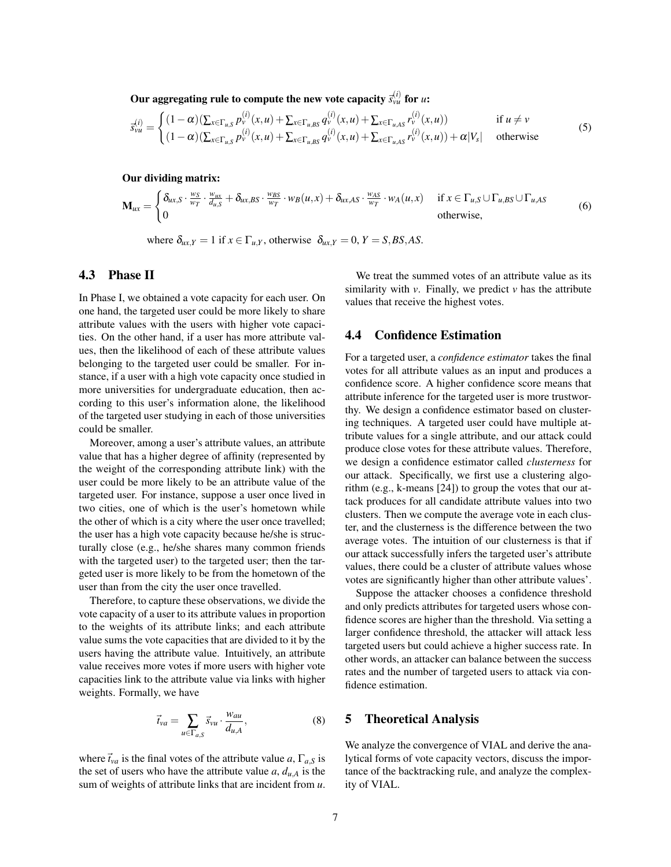Our aggregating rule to compute the new vote capacity  $\bar{s}_{\nu u}^{(i)}$  for  $u$ :

$$
\overline{s}_{vu}^{(i)} = \begin{cases}\n(1-\alpha)(\sum_{x \in \Gamma_{u,S}} p_v^{(i)}(x, u) + \sum_{x \in \Gamma_{u,BS}} q_v^{(i)}(x, u) + \sum_{x \in \Gamma_{u,AS}} r_v^{(i)}(x, u)) & \text{if } u \neq v \\
(1-\alpha)(\sum_{x \in \Gamma_{u,S}} p_v^{(i)}(x, u) + \sum_{x \in \Gamma_{u,BS}} q_v^{(i)}(x, u) + \sum_{x \in \Gamma_{u,AS}} r_v^{(i)}(x, u)) + \alpha |V_s| & \text{otherwise}\n\end{cases}
$$
\n(5)

Our dividing matrix:

$$
\mathbf{M}_{ux} = \begin{cases} \delta_{ux,S} \cdot \frac{w_S}{w_T} \cdot \frac{w_{ux}}{d_{u,S}} + \delta_{ux,BS} \cdot \frac{w_{BS}}{w_T} \cdot w_B(u,x) + \delta_{ux,AS} \cdot \frac{w_{AS}}{w_T} \cdot w_A(u,x) & \text{if } x \in \Gamma_{u,S} \cup \Gamma_{u,BS} \cup \Gamma_{u,AS} \\ 0 & \text{otherwise,} \end{cases}
$$
(6)

where  $\delta_{ux,Y} = 1$  if  $x \in \Gamma_{u,Y}$ , otherwise  $\delta_{ux,Y} = 0$ ,  $Y = S, BS, AS$ .

## 4.3 Phase II

In Phase I, we obtained a vote capacity for each user. On one hand, the targeted user could be more likely to share attribute values with the users with higher vote capacities. On the other hand, if a user has more attribute values, then the likelihood of each of these attribute values belonging to the targeted user could be smaller. For instance, if a user with a high vote capacity once studied in more universities for undergraduate education, then according to this user's information alone, the likelihood of the targeted user studying in each of those universities could be smaller.

Moreover, among a user's attribute values, an attribute value that has a higher degree of affinity (represented by the weight of the corresponding attribute link) with the user could be more likely to be an attribute value of the targeted user. For instance, suppose a user once lived in two cities, one of which is the user's hometown while the other of which is a city where the user once travelled; the user has a high vote capacity because he/she is structurally close (e.g., he/she shares many common friends with the targeted user) to the targeted user; then the targeted user is more likely to be from the hometown of the user than from the city the user once travelled.

Therefore, to capture these observations, we divide the vote capacity of a user to its attribute values in proportion to the weights of its attribute links; and each attribute value sums the vote capacities that are divided to it by the users having the attribute value. Intuitively, an attribute value receives more votes if more users with higher vote capacities link to the attribute value via links with higher weights. Formally, we have

$$
\vec{t}_{va} = \sum_{u \in \Gamma_{a,S}} \vec{s}_{vu} \cdot \frac{w_{au}}{d_{u,A}},\tag{8}
$$

where  $\vec{t}_{va}$  is the final votes of the attribute value *a*,  $\Gamma_{a,S}$  is the set of users who have the attribute value  $a$ ,  $d_{u}$  is the sum of weights of attribute links that are incident from *u*.

We treat the summed votes of an attribute value as its similarity with  $\nu$ . Finally, we predict  $\nu$  has the attribute values that receive the highest votes.

#### 4.4 Confidence Estimation

For a targeted user, a *confidence estimator* takes the final votes for all attribute values as an input and produces a confidence score. A higher confidence score means that attribute inference for the targeted user is more trustworthy. We design a confidence estimator based on clustering techniques. A targeted user could have multiple attribute values for a single attribute, and our attack could produce close votes for these attribute values. Therefore, we design a confidence estimator called *clusterness* for our attack. Specifically, we first use a clustering algorithm (e.g., k-means [24]) to group the votes that our attack produces for all candidate attribute values into two clusters. Then we compute the average vote in each cluster, and the clusterness is the difference between the two average votes. The intuition of our clusterness is that if our attack successfully infers the targeted user's attribute values, there could be a cluster of attribute values whose votes are significantly higher than other attribute values'.

Suppose the attacker chooses a confidence threshold and only predicts attributes for targeted users whose confidence scores are higher than the threshold. Via setting a larger confidence threshold, the attacker will attack less targeted users but could achieve a higher success rate. In other words, an attacker can balance between the success rates and the number of targeted users to attack via confidence estimation.

#### 5 Theoretical Analysis

We analyze the convergence of VIAL and derive the analytical forms of vote capacity vectors, discuss the importance of the backtracking rule, and analyze the complexity of VIAL.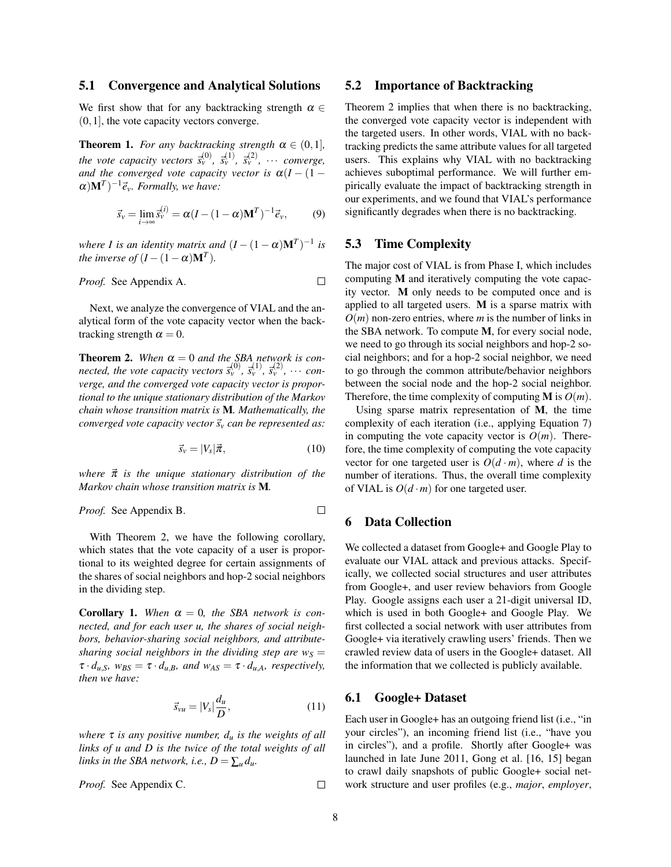#### 5.1 Convergence and Analytical Solutions

We first show that for any backtracking strength  $\alpha \in$  $(0,1]$ , the vote capacity vectors converge.

**Theorem 1.** *For any backtracking strength*  $\alpha \in (0,1]$ *, the vote capacity vectors*  $\vec{s}_v^{(0)}$ ,  $\vec{s}_v^{(1)}$ ,  $\vec{s}_v^{(2)}$ ,  $\cdots$  *converge, and the converged vote capacity vector is*  $\alpha(I - (1 (\alpha)$ **M**<sup>*T*</sup> $)$ <sup>-1</sup> $\vec{e}_v$ *. Formally, we have:* 

$$
\vec{s}_v = \lim_{i \to \infty} \vec{s}_v^{(i)} = \alpha (I - (1 - \alpha) \mathbf{M}^T)^{-1} \vec{e}_v, \tag{9}
$$

*where I is an identity matrix and*  $(I - (1 - \alpha)M^T)^{-1}$  *is the inverse of*  $(I - (1 - \alpha)M^T)$ *.* 

*Proof.* See Appendix A. 
$$
\Box
$$

Next, we analyze the convergence of VIAL and the analytical form of the vote capacity vector when the backtracking strength  $\alpha = 0$ .

**Theorem 2.** When  $\alpha = 0$  and the SBA network is con $n$  *nected, the vote capacity vectors*  $\vec{s}_v^{(0)}$ ,  $\vec{s}_v^{(1)}$ ,  $\vec{s}_v^{(2)}$ ,  $\cdots$  *converge, and the converged vote capacity vector is proportional to the unique stationary distribution of the Markov chain whose transition matrix is* M*. Mathematically, the converged vote capacity vector*  $\vec{s}_v$  *can be represented as:* 

$$
\vec{s}_v = |V_s|\vec{\pi},\tag{10}
$$

*where*  $\vec{\pi}$  *is the unique stationary distribution of the Markov chain whose transition matrix is* M*.*

*Proof.* See Appendix B. 
$$
\Box
$$

With Theorem 2, we have the following corollary, which states that the vote capacity of a user is proportional to its weighted degree for certain assignments of the shares of social neighbors and hop-2 social neighbors in the dividing step.

**Corollary 1.** When  $\alpha = 0$ , the SBA network is con*nected, and for each user u, the shares of social neighbors, behavior-sharing social neighbors, and attributesharing social neighbors in the dividing step are*  $w<sub>S</sub>$  *=*  $\tau \cdot d_{u,S}$ *, w<sub>BS</sub>* =  $\tau \cdot d_{u,B}$ *, and w<sub>AS</sub>* =  $\tau \cdot d_{u,A}$ *, respectively, then we have:*

$$
\vec{s}_{vu} = |V_s| \frac{d_u}{D},\tag{11}
$$

*where* τ *is any positive number, d<sup>u</sup> is the weights of all links of u and D is the twice of the total weights of all links in the SBA network, i.e.,*  $D = \sum_{u} d_u$ .

*Proof.* See Appendix C.  $\Box$ 

#### 5.2 Importance of Backtracking

Theorem 2 implies that when there is no backtracking, the converged vote capacity vector is independent with the targeted users. In other words, VIAL with no backtracking predicts the same attribute values for all targeted users. This explains why VIAL with no backtracking achieves suboptimal performance. We will further empirically evaluate the impact of backtracking strength in our experiments, and we found that VIAL's performance significantly degrades when there is no backtracking.

## 5.3 Time Complexity

The major cost of VIAL is from Phase I, which includes computing M and iteratively computing the vote capacity vector. M only needs to be computed once and is applied to all targeted users. M is a sparse matrix with  $O(m)$  non-zero entries, where *m* is the number of links in the SBA network. To compute M, for every social node, we need to go through its social neighbors and hop-2 social neighbors; and for a hop-2 social neighbor, we need to go through the common attribute/behavior neighbors between the social node and the hop-2 social neighbor. Therefore, the time complexity of computing **M** is  $O(m)$ .

Using sparse matrix representation of M, the time complexity of each iteration (i.e., applying Equation 7) in computing the vote capacity vector is  $O(m)$ . Therefore, the time complexity of computing the vote capacity vector for one targeted user is  $O(d \cdot m)$ , where *d* is the number of iterations. Thus, the overall time complexity of VIAL is  $O(d \cdot m)$  for one targeted user.

## 6 Data Collection

We collected a dataset from Google+ and Google Play to evaluate our VIAL attack and previous attacks. Specifically, we collected social structures and user attributes from Google+, and user review behaviors from Google Play. Google assigns each user a 21-digit universal ID, which is used in both Google+ and Google Play. We first collected a social network with user attributes from Google+ via iteratively crawling users' friends. Then we crawled review data of users in the Google+ dataset. All the information that we collected is publicly available.

#### 6.1 Google+ Dataset

Each user in Google+ has an outgoing friend list (i.e., "in your circles"), an incoming friend list (i.e., "have you in circles"), and a profile. Shortly after Google+ was launched in late June 2011, Gong et al. [16, 15] began to crawl daily snapshots of public Google+ social network structure and user profiles (e.g., *major*, *employer*,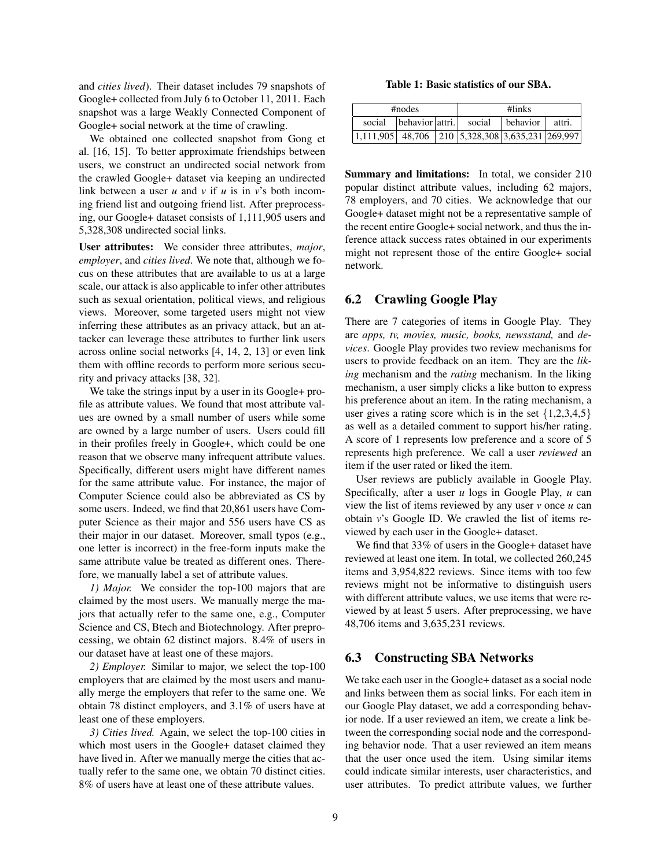and *cities lived*). Their dataset includes 79 snapshots of Google+ collected from July 6 to October 11, 2011. Each snapshot was a large Weakly Connected Component of Google+ social network at the time of crawling.

We obtained one collected snapshot from Gong et al. [16, 15]. To better approximate friendships between users, we construct an undirected social network from the crawled Google+ dataset via keeping an undirected link between a user *u* and *v* if *u* is in *v*'s both incoming friend list and outgoing friend list. After preprocessing, our Google+ dataset consists of 1,111,905 users and 5,328,308 undirected social links.

User attributes: We consider three attributes, *major*, *employer*, and *cities lived*. We note that, although we focus on these attributes that are available to us at a large scale, our attack is also applicable to infer other attributes such as sexual orientation, political views, and religious views. Moreover, some targeted users might not view inferring these attributes as an privacy attack, but an attacker can leverage these attributes to further link users across online social networks [4, 14, 2, 13] or even link them with offline records to perform more serious security and privacy attacks [38, 32].

We take the strings input by a user in its Google+ profile as attribute values. We found that most attribute values are owned by a small number of users while some are owned by a large number of users. Users could fill in their profiles freely in Google+, which could be one reason that we observe many infrequent attribute values. Specifically, different users might have different names for the same attribute value. For instance, the major of Computer Science could also be abbreviated as CS by some users. Indeed, we find that 20,861 users have Computer Science as their major and 556 users have CS as their major in our dataset. Moreover, small typos (e.g., one letter is incorrect) in the free-form inputs make the same attribute value be treated as different ones. Therefore, we manually label a set of attribute values.

*1) Major.* We consider the top-100 majors that are claimed by the most users. We manually merge the majors that actually refer to the same one, e.g., Computer Science and CS, Btech and Biotechnology. After preprocessing, we obtain 62 distinct majors. 8.4% of users in our dataset have at least one of these majors.

*2) Employer.* Similar to major, we select the top-100 employers that are claimed by the most users and manually merge the employers that refer to the same one. We obtain 78 distinct employers, and 3.1% of users have at least one of these employers.

*3) Cities lived.* Again, we select the top-100 cities in which most users in the Google+ dataset claimed they have lived in. After we manually merge the cities that actually refer to the same one, we obtain 70 distinct cities. 8% of users have at least one of these attribute values.

#### Table 1: Basic statistics of our SBA.

| #nodes                                                                                           |                                                         |  | #links |  |  |  |
|--------------------------------------------------------------------------------------------------|---------------------------------------------------------|--|--------|--|--|--|
|                                                                                                  | social   behavior   attri.   social   behavior   attri. |  |        |  |  |  |
| $\left  \frac{1,111,905}{48,706} \right  210 \left  \frac{5,328,308}{3,635,231} \right  269,997$ |                                                         |  |        |  |  |  |

Summary and limitations: In total, we consider 210 popular distinct attribute values, including 62 majors, 78 employers, and 70 cities. We acknowledge that our Google+ dataset might not be a representative sample of the recent entire Google+ social network, and thus the inference attack success rates obtained in our experiments might not represent those of the entire Google+ social network.

## 6.2 Crawling Google Play

There are 7 categories of items in Google Play. They are *apps, tv, movies, music, books, newsstand,* and *devices*. Google Play provides two review mechanisms for users to provide feedback on an item. They are the *liking* mechanism and the *rating* mechanism. In the liking mechanism, a user simply clicks a like button to express his preference about an item. In the rating mechanism, a user gives a rating score which is in the set  $\{1,2,3,4,5\}$ as well as a detailed comment to support his/her rating. A score of 1 represents low preference and a score of 5 represents high preference. We call a user *reviewed* an item if the user rated or liked the item.

User reviews are publicly available in Google Play. Specifically, after a user *u* logs in Google Play, *u* can view the list of items reviewed by any user *v* once *u* can obtain *v*'s Google ID. We crawled the list of items reviewed by each user in the Google+ dataset.

We find that 33% of users in the Google+ dataset have reviewed at least one item. In total, we collected 260,245 items and 3,954,822 reviews. Since items with too few reviews might not be informative to distinguish users with different attribute values, we use items that were reviewed by at least 5 users. After preprocessing, we have 48,706 items and 3,635,231 reviews.

## 6.3 Constructing SBA Networks

We take each user in the Google+ dataset as a social node and links between them as social links. For each item in our Google Play dataset, we add a corresponding behavior node. If a user reviewed an item, we create a link between the corresponding social node and the corresponding behavior node. That a user reviewed an item means that the user once used the item. Using similar items could indicate similar interests, user characteristics, and user attributes. To predict attribute values, we further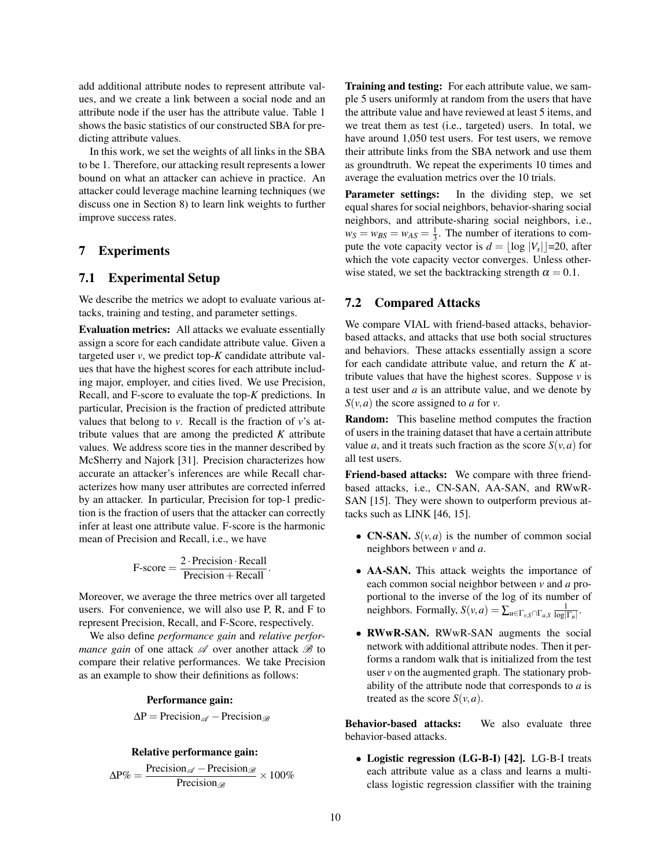add additional attribute nodes to represent attribute values, and we create a link between a social node and an attribute node if the user has the attribute value. Table 1 shows the basic statistics of our constructed SBA for predicting attribute values.

In this work, we set the weights of all links in the SBA to be 1. Therefore, our attacking result represents a lower bound on what an attacker can achieve in practice. An attacker could leverage machine learning techniques (we discuss one in Section 8) to learn link weights to further improve success rates.

## 7 Experiments

## 7.1 Experimental Setup

We describe the metrics we adopt to evaluate various attacks, training and testing, and parameter settings.

Evaluation metrics: All attacks we evaluate essentially assign a score for each candidate attribute value. Given a targeted user  $v$ , we predict top- $K$  candidate attribute values that have the highest scores for each attribute including major, employer, and cities lived. We use Precision, Recall, and F-score to evaluate the top-*K* predictions. In particular, Precision is the fraction of predicted attribute values that belong to *v*. Recall is the fraction of *v*'s attribute values that are among the predicted *K* attribute values. We address score ties in the manner described by McSherry and Najork [31]. Precision characterizes how accurate an attacker's inferences are while Recall characterizes how many user attributes are corrected inferred by an attacker. In particular, Precision for top-1 prediction is the fraction of users that the attacker can correctly infer at least one attribute value. F-score is the harmonic mean of Precision and Recall, i.e., we have

$$
F-score = \frac{2 \cdot Precision \cdot Recall}{Precision + Recall}.
$$

Moreover, we average the three metrics over all targeted users. For convenience, we will also use P, R, and F to represent Precision, Recall, and F-Score, respectively.

We also define *performance gain* and *relative performance gain* of one attack  $\mathscr A$  over another attack  $\mathscr B$  to compare their relative performances. We take Precision as an example to show their definitions as follows:

#### Performance gain:

 $\Delta P = \text{Precision}_{\mathscr{A}} - \text{Precision}_{\mathscr{B}}$ 

#### Relative performance gain:

$$
\Delta P\% = \frac{\text{Precision}_{\mathscr{A}} - \text{Precision}_{\mathscr{B}}}{\text{Precision}_{\mathscr{B}}} \times 100\%
$$

Training and testing: For each attribute value, we sample 5 users uniformly at random from the users that have the attribute value and have reviewed at least 5 items, and we treat them as test (i.e., targeted) users. In total, we have around 1,050 test users. For test users, we remove their attribute links from the SBA network and use them as groundtruth. We repeat the experiments 10 times and average the evaluation metrics over the 10 trials.

Parameter settings: In the dividing step, we set equal shares for social neighbors, behavior-sharing social neighbors, and attribute-sharing social neighbors, i.e.,  $w_S = w_{BS} = w_{AS} = \frac{1}{3}$ . The number of iterations to compute the vote capacity vector is  $d = \lfloor \log |V_s| \rfloor = 20$ , after which the vote capacity vector converges. Unless otherwise stated, we set the backtracking strength  $\alpha = 0.1$ .

#### 7.2 Compared Attacks

We compare VIAL with friend-based attacks, behaviorbased attacks, and attacks that use both social structures and behaviors. These attacks essentially assign a score for each candidate attribute value, and return the *K* attribute values that have the highest scores. Suppose  $\nu$  is a test user and *a* is an attribute value, and we denote by  $S(v, a)$  the score assigned to *a* for *v*.

Random: This baseline method computes the fraction of users in the training dataset that have a certain attribute value *a*, and it treats such fraction as the score  $S(v, a)$  for all test users.

Friend-based attacks: We compare with three friendbased attacks, i.e., CN-SAN, AA-SAN, and RWwR-SAN [15]. They were shown to outperform previous attacks such as LINK [46, 15].

- **CN-SAN.**  $S(v, a)$  is the number of common social neighbors between *v* and *a*.
- AA-SAN. This attack weights the importance of each common social neighbor between *v* and *a* proportional to the inverse of the log of its number of neighbors. Formally,  $S(v, a) = \sum_{u \in \Gamma_{v, S} \cap \Gamma_{a, S}} \frac{1}{\log |\Gamma_u|}$ .
- RWwR-SAN. RWwR-SAN augments the social network with additional attribute nodes. Then it performs a random walk that is initialized from the test user *v* on the augmented graph. The stationary probability of the attribute node that corresponds to *a* is treated as the score  $S(v, a)$ .

Behavior-based attacks: We also evaluate three behavior-based attacks.

• Logistic regression (LG-B-I) [42]. LG-B-I treats each attribute value as a class and learns a multiclass logistic regression classifier with the training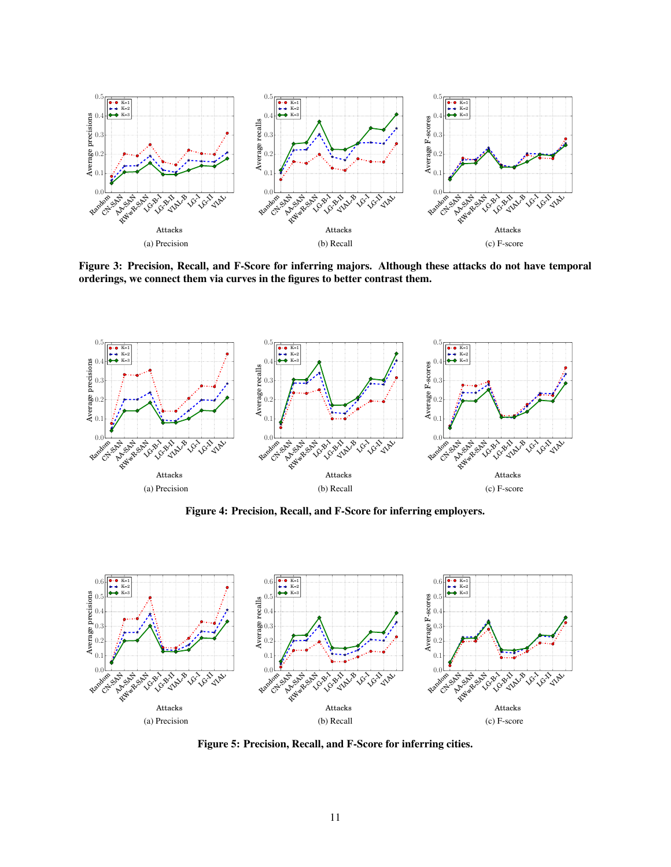

Figure 3: Precision, Recall, and F-Score for inferring majors. Although these attacks do not have temporal orderings, we connect them via curves in the figures to better contrast them.



Figure 4: Precision, Recall, and F-Score for inferring employers.



Figure 5: Precision, Recall, and F-Score for inferring cities.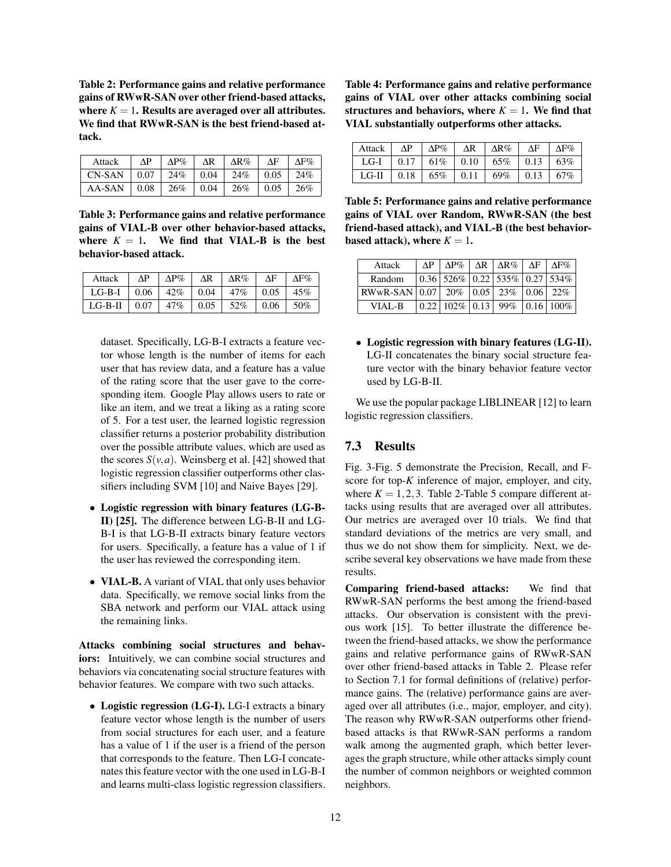Table 2: Performance gains and relative performance gains of RWwR-SAN over other friend-based attacks, where  $K = 1$ . Results are averaged over all attributes. We find that RWwR-SAN is the best friend-based attack.

| Attack                                          | $\Delta P$ |  | $\Delta P\%$ $\Delta R$ $\Delta R\%$ $\Delta F$ | $\Delta F\%$ |
|-------------------------------------------------|------------|--|-------------------------------------------------|--------------|
| $CN-SAN$   0.07   24%   0.04   24%   0.05   24% |            |  |                                                 |              |
| $AA-SAN$   0.08                                 |            |  | $\vert 26\% \vert 0.04 \vert 26\% \vert 0.05$   | 126%         |

Table 3: Performance gains and relative performance gains of VIAL-B over other behavior-based attacks, where  $K = 1$ . We find that VIAL-B is the best behavior-based attack.

| Attack    | ΔP   | $\Delta P\%$ | ΔR   | $\Delta R\%$ | ΔF   | ΔF% |
|-----------|------|--------------|------|--------------|------|-----|
| $LG-B-I$  | 0.06 | 42%          | 0.04 | 47%          | 0.05 | 45% |
| $LG-B-II$ | 0.07 | 47%          | 0.05 | 52%          | 0.06 | 50% |

dataset. Specifically, LG-B-I extracts a feature vector whose length is the number of items for each user that has review data, and a feature has a value of the rating score that the user gave to the corresponding item. Google Play allows users to rate or like an item, and we treat a liking as a rating score of 5. For a test user, the learned logistic regression classifier returns a posterior probability distribution over the possible attribute values, which are used as the scores  $S(v, a)$ . Weinsberg et al. [42] showed that logistic regression classifier outperforms other classifiers including SVM [10] and Naive Bayes [29].

- Logistic regression with binary features (LG-B-II) [25]. The difference between LG-B-II and LG-B-I is that LG-B-II extracts binary feature vectors for users. Specifically, a feature has a value of 1 if the user has reviewed the corresponding item.
- **VIAL-B.** A variant of VIAL that only uses behavior data. Specifically, we remove social links from the SBA network and perform our VIAL attack using the remaining links.

Attacks combining social structures and behaviors: Intuitively, we can combine social structures and behaviors via concatenating social structure features with behavior features. We compare with two such attacks.

• Logistic regression (LG-I). LG-I extracts a binary feature vector whose length is the number of users from social structures for each user, and a feature has a value of 1 if the user is a friend of the person that corresponds to the feature. Then LG-I concatenates this feature vector with the one used in LG-B-I and learns multi-class logistic regression classifiers.

Table 4: Performance gains and relative performance gains of VIAL over other attacks combining social structures and behaviors, where  $K = 1$ . We find that VIAL substantially outperforms other attacks.

| Attack  | $\Delta P$ | $\Delta P\%$ | $\Delta R$  | $\Delta R\%$ | ΔF           | $\Delta$ F $\%$ |
|---------|------------|--------------|-------------|--------------|--------------|-----------------|
| $LG-I$  | 0.17       | 61%          | $\mid$ 0.10 | 65%          | $\perp$ 0.13 | 63%             |
| $LG-II$ | 0.18       | 65%          | 0.11        | 69%          | 0.13         | 67%             |

Table 5: Performance gains and relative performance gains of VIAL over Random, RWwR-SAN (the best friend-based attack), and VIAL-B (the best behaviorbased attack), where  $K = 1$ .

| Attack                                                                       | ΛP |                                                                        | $\Delta P\%$   $\Delta R$   $\Delta R\%$   $\Delta F$   $\Delta F\%$ |               |
|------------------------------------------------------------------------------|----|------------------------------------------------------------------------|----------------------------------------------------------------------|---------------|
| Random                                                                       |    | $\vert 0.36 \vert 526\% \vert 0.22 \vert 535\% \vert 0.27 \vert 534\%$ |                                                                      |               |
| RWwR-SAN $\vert 0.07 \vert 20\% \vert 0.05 \vert 23\% \vert 0.06 \vert 22\%$ |    |                                                                        |                                                                      |               |
| VIAL-B                                                                       |    | $0.22$   102\%   0.13                                                  | 99%                                                                  | $ 0.16 100\%$ |

• Logistic regression with binary features (LG-II). LG-II concatenates the binary social structure feature vector with the binary behavior feature vector used by LG-B-II.

We use the popular package LIBLINEAR [12] to learn logistic regression classifiers.

# 7.3 Results

Fig. 3-Fig. 5 demonstrate the Precision, Recall, and Fscore for top-*K* inference of major, employer, and city, where  $K = 1, 2, 3$ . Table 2-Table 5 compare different attacks using results that are averaged over all attributes. Our metrics are averaged over 10 trials. We find that standard deviations of the metrics are very small, and thus we do not show them for simplicity. Next, we describe several key observations we have made from these results.

Comparing friend-based attacks: We find that RWwR-SAN performs the best among the friend-based attacks. Our observation is consistent with the previous work [15]. To better illustrate the difference between the friend-based attacks, we show the performance gains and relative performance gains of RWwR-SAN over other friend-based attacks in Table 2. Please refer to Section 7.1 for formal definitions of (relative) performance gains. The (relative) performance gains are averaged over all attributes (i.e., major, employer, and city). The reason why RWwR-SAN outperforms other friendbased attacks is that RWwR-SAN performs a random walk among the augmented graph, which better leverages the graph structure, while other attacks simply count the number of common neighbors or weighted common neighbors.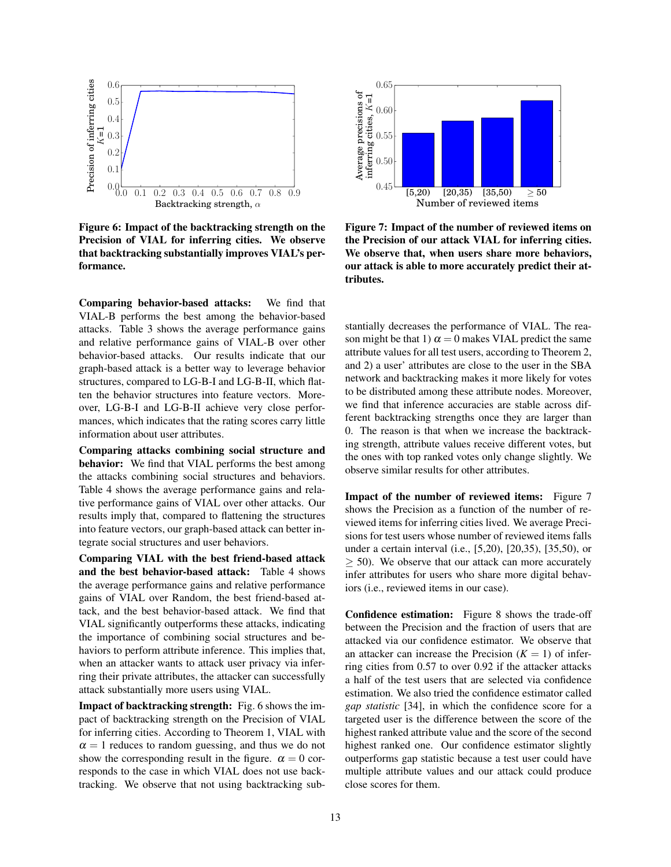

Figure 6: Impact of the backtracking strength on the Precision of VIAL for inferring cities. We observe that backtracking substantially improves VIAL's performance.

Comparing behavior-based attacks: We find that VIAL-B performs the best among the behavior-based attacks. Table 3 shows the average performance gains and relative performance gains of VIAL-B over other behavior-based attacks. Our results indicate that our graph-based attack is a better way to leverage behavior structures, compared to LG-B-I and LG-B-II, which flatten the behavior structures into feature vectors. Moreover, LG-B-I and LG-B-II achieve very close performances, which indicates that the rating scores carry little information about user attributes.

Comparing attacks combining social structure and behavior: We find that VIAL performs the best among the attacks combining social structures and behaviors. Table 4 shows the average performance gains and relative performance gains of VIAL over other attacks. Our results imply that, compared to flattening the structures into feature vectors, our graph-based attack can better integrate social structures and user behaviors.

Comparing VIAL with the best friend-based attack and the best behavior-based attack: Table 4 shows the average performance gains and relative performance gains of VIAL over Random, the best friend-based attack, and the best behavior-based attack. We find that VIAL significantly outperforms these attacks, indicating the importance of combining social structures and behaviors to perform attribute inference. This implies that, when an attacker wants to attack user privacy via inferring their private attributes, the attacker can successfully attack substantially more users using VIAL.

Impact of backtracking strength: Fig. 6 shows the impact of backtracking strength on the Precision of VIAL for inferring cities. According to Theorem 1, VIAL with  $\alpha = 1$  reduces to random guessing, and thus we do not show the corresponding result in the figure.  $\alpha = 0$  corresponds to the case in which VIAL does not use backtracking. We observe that not using backtracking sub-



Figure 7: Impact of the number of reviewed items on the Precision of our attack VIAL for inferring cities. We observe that, when users share more behaviors, our attack is able to more accurately predict their attributes.

stantially decreases the performance of VIAL. The reason might be that 1)  $\alpha = 0$  makes VIAL predict the same attribute values for all test users, according to Theorem 2, and 2) a user' attributes are close to the user in the SBA network and backtracking makes it more likely for votes to be distributed among these attribute nodes. Moreover, we find that inference accuracies are stable across different backtracking strengths once they are larger than 0. The reason is that when we increase the backtracking strength, attribute values receive different votes, but the ones with top ranked votes only change slightly. We observe similar results for other attributes.

Impact of the number of reviewed items: Figure 7 shows the Precision as a function of the number of reviewed items for inferring cities lived. We average Precisions for test users whose number of reviewed items falls under a certain interval (i.e., [5,20), [20,35), [35,50), or  $\geq$  50). We observe that our attack can more accurately infer attributes for users who share more digital behaviors (i.e., reviewed items in our case).

Confidence estimation: Figure 8 shows the trade-off between the Precision and the fraction of users that are attacked via our confidence estimator. We observe that an attacker can increase the Precision  $(K = 1)$  of inferring cities from 0.57 to over 0.92 if the attacker attacks a half of the test users that are selected via confidence estimation. We also tried the confidence estimator called *gap statistic* [34], in which the confidence score for a targeted user is the difference between the score of the highest ranked attribute value and the score of the second highest ranked one. Our confidence estimator slightly outperforms gap statistic because a test user could have multiple attribute values and our attack could produce close scores for them.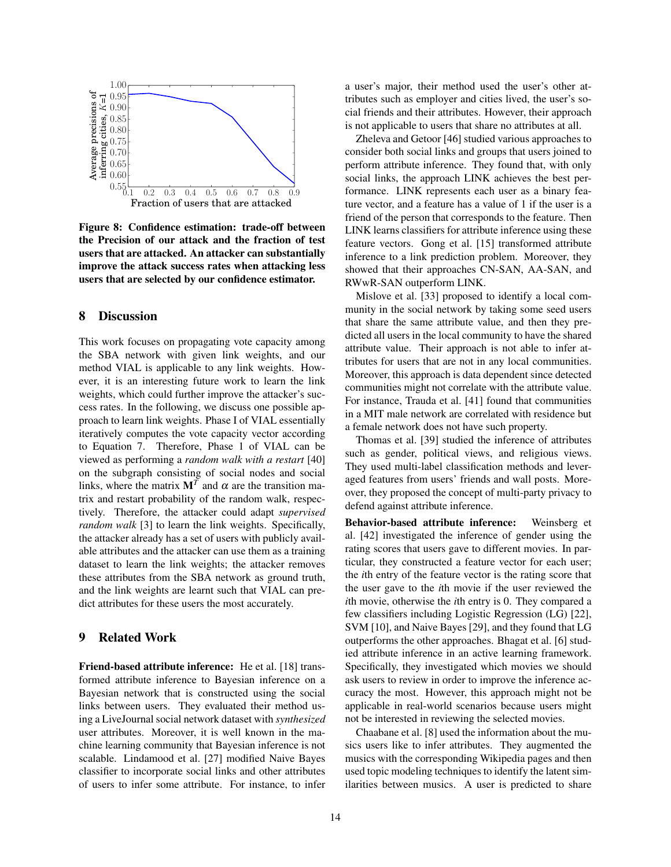

Figure 8: Confidence estimation: trade-off between the Precision of our attack and the fraction of test users that are attacked. An attacker can substantially improve the attack success rates when attacking less users that are selected by our confidence estimator.

### 8 Discussion

This work focuses on propagating vote capacity among the SBA network with given link weights, and our method VIAL is applicable to any link weights. However, it is an interesting future work to learn the link weights, which could further improve the attacker's success rates. In the following, we discuss one possible approach to learn link weights. Phase I of VIAL essentially iteratively computes the vote capacity vector according to Equation 7. Therefore, Phase 1 of VIAL can be viewed as performing a *random walk with a restart* [40] on the subgraph consisting of social nodes and social links, where the matrix  $M<sup>T</sup>$  and  $\alpha$  are the transition matrix and restart probability of the random walk, respectively. Therefore, the attacker could adapt *supervised random walk* [3] to learn the link weights. Specifically, the attacker already has a set of users with publicly available attributes and the attacker can use them as a training dataset to learn the link weights; the attacker removes these attributes from the SBA network as ground truth, and the link weights are learnt such that VIAL can predict attributes for these users the most accurately.

# 9 Related Work

Friend-based attribute inference: He et al. [18] transformed attribute inference to Bayesian inference on a Bayesian network that is constructed using the social links between users. They evaluated their method using a LiveJournal social network dataset with *synthesized* user attributes. Moreover, it is well known in the machine learning community that Bayesian inference is not scalable. Lindamood et al. [27] modified Naive Bayes classifier to incorporate social links and other attributes of users to infer some attribute. For instance, to infer a user's major, their method used the user's other attributes such as employer and cities lived, the user's social friends and their attributes. However, their approach is not applicable to users that share no attributes at all.

Zheleva and Getoor [46] studied various approaches to consider both social links and groups that users joined to perform attribute inference. They found that, with only social links, the approach LINK achieves the best performance. LINK represents each user as a binary feature vector, and a feature has a value of 1 if the user is a friend of the person that corresponds to the feature. Then LINK learns classifiers for attribute inference using these feature vectors. Gong et al. [15] transformed attribute inference to a link prediction problem. Moreover, they showed that their approaches CN-SAN, AA-SAN, and RWwR-SAN outperform LINK.

Mislove et al. [33] proposed to identify a local community in the social network by taking some seed users that share the same attribute value, and then they predicted all users in the local community to have the shared attribute value. Their approach is not able to infer attributes for users that are not in any local communities. Moreover, this approach is data dependent since detected communities might not correlate with the attribute value. For instance, Trauda et al. [41] found that communities in a MIT male network are correlated with residence but a female network does not have such property.

Thomas et al. [39] studied the inference of attributes such as gender, political views, and religious views. They used multi-label classification methods and leveraged features from users' friends and wall posts. Moreover, they proposed the concept of multi-party privacy to defend against attribute inference.

Behavior-based attribute inference: Weinsberg et al. [42] investigated the inference of gender using the rating scores that users gave to different movies. In particular, they constructed a feature vector for each user; the *i*th entry of the feature vector is the rating score that the user gave to the *i*th movie if the user reviewed the *i*th movie, otherwise the *i*th entry is 0. They compared a few classifiers including Logistic Regression (LG) [22], SVM [10], and Naive Bayes [29], and they found that LG outperforms the other approaches. Bhagat et al. [6] studied attribute inference in an active learning framework. Specifically, they investigated which movies we should ask users to review in order to improve the inference accuracy the most. However, this approach might not be applicable in real-world scenarios because users might not be interested in reviewing the selected movies.

Chaabane et al. [8] used the information about the musics users like to infer attributes. They augmented the musics with the corresponding Wikipedia pages and then used topic modeling techniques to identify the latent similarities between musics. A user is predicted to share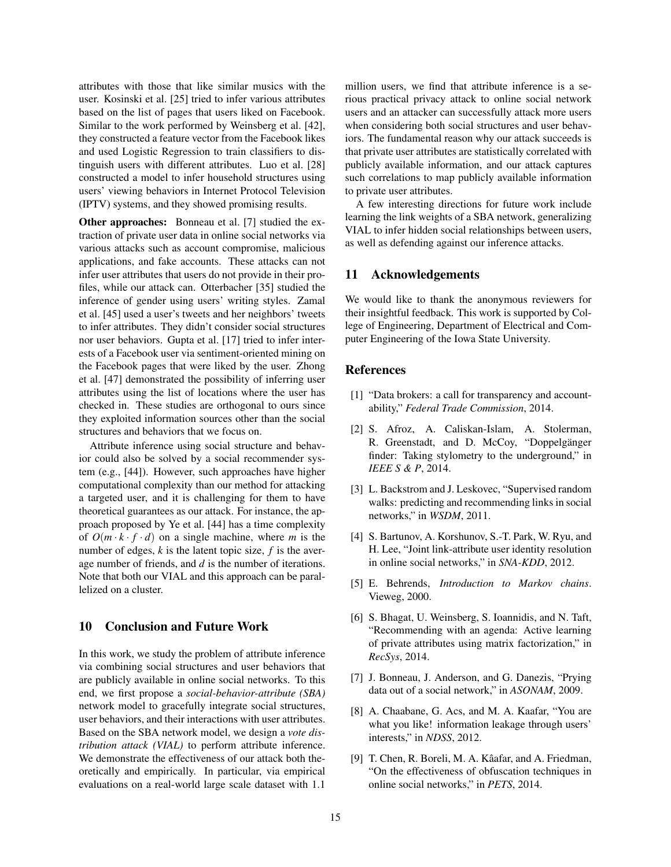attributes with those that like similar musics with the user. Kosinski et al. [25] tried to infer various attributes based on the list of pages that users liked on Facebook. Similar to the work performed by Weinsberg et al. [42], they constructed a feature vector from the Facebook likes and used Logistic Regression to train classifiers to distinguish users with different attributes. Luo et al. [28] constructed a model to infer household structures using users' viewing behaviors in Internet Protocol Television (IPTV) systems, and they showed promising results.

Other approaches: Bonneau et al. [7] studied the extraction of private user data in online social networks via various attacks such as account compromise, malicious applications, and fake accounts. These attacks can not infer user attributes that users do not provide in their profiles, while our attack can. Otterbacher [35] studied the inference of gender using users' writing styles. Zamal et al. [45] used a user's tweets and her neighbors' tweets to infer attributes. They didn't consider social structures nor user behaviors. Gupta et al. [17] tried to infer interests of a Facebook user via sentiment-oriented mining on the Facebook pages that were liked by the user. Zhong et al. [47] demonstrated the possibility of inferring user attributes using the list of locations where the user has checked in. These studies are orthogonal to ours since they exploited information sources other than the social structures and behaviors that we focus on.

Attribute inference using social structure and behavior could also be solved by a social recommender system (e.g., [44]). However, such approaches have higher computational complexity than our method for attacking a targeted user, and it is challenging for them to have theoretical guarantees as our attack. For instance, the approach proposed by Ye et al. [44] has a time complexity of  $O(m \cdot k \cdot f \cdot d)$  on a single machine, where *m* is the number of edges, *k* is the latent topic size, *f* is the average number of friends, and *d* is the number of iterations. Note that both our VIAL and this approach can be parallelized on a cluster.

#### 10 Conclusion and Future Work

In this work, we study the problem of attribute inference via combining social structures and user behaviors that are publicly available in online social networks. To this end, we first propose a *social-behavior-attribute (SBA)* network model to gracefully integrate social structures, user behaviors, and their interactions with user attributes. Based on the SBA network model, we design a *vote distribution attack (VIAL)* to perform attribute inference. We demonstrate the effectiveness of our attack both theoretically and empirically. In particular, via empirical evaluations on a real-world large scale dataset with 1.1 million users, we find that attribute inference is a serious practical privacy attack to online social network users and an attacker can successfully attack more users when considering both social structures and user behaviors. The fundamental reason why our attack succeeds is that private user attributes are statistically correlated with publicly available information, and our attack captures such correlations to map publicly available information to private user attributes.

A few interesting directions for future work include learning the link weights of a SBA network, generalizing VIAL to infer hidden social relationships between users, as well as defending against our inference attacks.

# 11 Acknowledgements

We would like to thank the anonymous reviewers for their insightful feedback. This work is supported by College of Engineering, Department of Electrical and Computer Engineering of the Iowa State University.

## References

- [1] "Data brokers: a call for transparency and accountability," *Federal Trade Commission*, 2014.
- [2] S. Afroz, A. Caliskan-Islam, A. Stolerman, R. Greenstadt, and D. McCoy, "Doppelgänger finder: Taking stylometry to the underground," in *IEEE S & P*, 2014.
- [3] L. Backstrom and J. Leskovec, "Supervised random walks: predicting and recommending links in social networks," in *WSDM*, 2011.
- [4] S. Bartunov, A. Korshunov, S.-T. Park, W. Ryu, and H. Lee, "Joint link-attribute user identity resolution in online social networks," in *SNA-KDD*, 2012.
- [5] E. Behrends, *Introduction to Markov chains*. Vieweg, 2000.
- [6] S. Bhagat, U. Weinsberg, S. Ioannidis, and N. Taft, "Recommending with an agenda: Active learning of private attributes using matrix factorization," in *RecSys*, 2014.
- [7] J. Bonneau, J. Anderson, and G. Danezis, "Prying data out of a social network," in *ASONAM*, 2009.
- [8] A. Chaabane, G. Acs, and M. A. Kaafar, "You are what you like! information leakage through users' interests," in *NDSS*, 2012.
- [9] T. Chen, R. Boreli, M. A. Kâafar, and A. Friedman, "On the effectiveness of obfuscation techniques in online social networks," in *PETS*, 2014.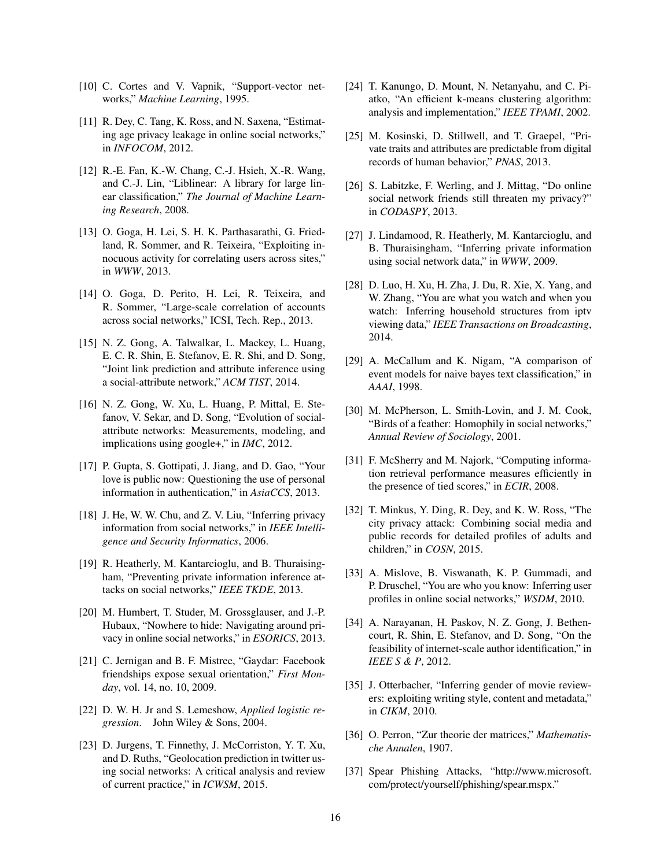- [10] C. Cortes and V. Vapnik, "Support-vector networks," *Machine Learning*, 1995.
- [11] R. Dey, C. Tang, K. Ross, and N. Saxena, "Estimating age privacy leakage in online social networks," in *INFOCOM*, 2012.
- [12] R.-E. Fan, K.-W. Chang, C.-J. Hsieh, X.-R. Wang, and C.-J. Lin, "Liblinear: A library for large linear classification," *The Journal of Machine Learning Research*, 2008.
- [13] O. Goga, H. Lei, S. H. K. Parthasarathi, G. Friedland, R. Sommer, and R. Teixeira, "Exploiting innocuous activity for correlating users across sites," in *WWW*, 2013.
- [14] O. Goga, D. Perito, H. Lei, R. Teixeira, and R. Sommer, "Large-scale correlation of accounts across social networks," ICSI, Tech. Rep., 2013.
- [15] N. Z. Gong, A. Talwalkar, L. Mackey, L. Huang, E. C. R. Shin, E. Stefanov, E. R. Shi, and D. Song, "Joint link prediction and attribute inference using a social-attribute network," *ACM TIST*, 2014.
- [16] N. Z. Gong, W. Xu, L. Huang, P. Mittal, E. Stefanov, V. Sekar, and D. Song, "Evolution of socialattribute networks: Measurements, modeling, and implications using google+," in *IMC*, 2012.
- [17] P. Gupta, S. Gottipati, J. Jiang, and D. Gao, "Your love is public now: Questioning the use of personal information in authentication," in *AsiaCCS*, 2013.
- [18] J. He, W. W. Chu, and Z. V. Liu, "Inferring privacy information from social networks," in *IEEE Intelligence and Security Informatics*, 2006.
- [19] R. Heatherly, M. Kantarcioglu, and B. Thuraisingham, "Preventing private information inference attacks on social networks," *IEEE TKDE*, 2013.
- [20] M. Humbert, T. Studer, M. Grossglauser, and J.-P. Hubaux, "Nowhere to hide: Navigating around privacy in online social networks," in *ESORICS*, 2013.
- [21] C. Jernigan and B. F. Mistree, "Gaydar: Facebook" friendships expose sexual orientation," *First Monday*, vol. 14, no. 10, 2009.
- [22] D. W. H. Jr and S. Lemeshow, *Applied logistic regression*. John Wiley & Sons, 2004.
- [23] D. Jurgens, T. Finnethy, J. McCorriston, Y. T. Xu, and D. Ruths, "Geolocation prediction in twitter using social networks: A critical analysis and review of current practice," in *ICWSM*, 2015.
- [24] T. Kanungo, D. Mount, N. Netanyahu, and C. Piatko, "An efficient k-means clustering algorithm: analysis and implementation," *IEEE TPAMI*, 2002.
- [25] M. Kosinski, D. Stillwell, and T. Graepel, "Private traits and attributes are predictable from digital records of human behavior," *PNAS*, 2013.
- [26] S. Labitzke, F. Werling, and J. Mittag, "Do online social network friends still threaten my privacy?" in *CODASPY*, 2013.
- [27] J. Lindamood, R. Heatherly, M. Kantarcioglu, and B. Thuraisingham, "Inferring private information using social network data," in *WWW*, 2009.
- [28] D. Luo, H. Xu, H. Zha, J. Du, R. Xie, X. Yang, and W. Zhang, "You are what you watch and when you watch: Inferring household structures from iptv viewing data," *IEEE Transactions on Broadcasting*, 2014.
- [29] A. McCallum and K. Nigam, "A comparison of event models for naive bayes text classification," in *AAAI*, 1998.
- [30] M. McPherson, L. Smith-Lovin, and J. M. Cook, "Birds of a feather: Homophily in social networks," *Annual Review of Sociology*, 2001.
- [31] F. McSherry and M. Najork, "Computing information retrieval performance measures efficiently in the presence of tied scores," in *ECIR*, 2008.
- [32] T. Minkus, Y. Ding, R. Dey, and K. W. Ross, "The city privacy attack: Combining social media and public records for detailed profiles of adults and children," in *COSN*, 2015.
- [33] A. Mislove, B. Viswanath, K. P. Gummadi, and P. Druschel, "You are who you know: Inferring user profiles in online social networks," *WSDM*, 2010.
- [34] A. Narayanan, H. Paskov, N. Z. Gong, J. Bethencourt, R. Shin, E. Stefanov, and D. Song, "On the feasibility of internet-scale author identification," in *IEEE S & P*, 2012.
- [35] J. Otterbacher, "Inferring gender of movie reviewers: exploiting writing style, content and metadata," in *CIKM*, 2010.
- [36] O. Perron, "Zur theorie der matrices," *Mathematische Annalen*, 1907.
- [37] Spear Phishing Attacks, "http://www.microsoft. com/protect/yourself/phishing/spear.mspx."